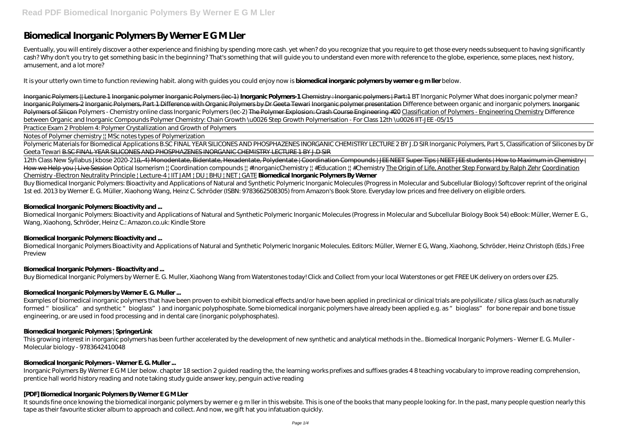# **Biomedical Inorganic Polymers By Werner E G M Ller**

Eventually, you will entirely discover a other experience and finishing by spending more cash. yet when? do you recognize that you require to get those every needs subsequent to having significantly cash? Why don't you try to get something basic in the beginning? That's something that will guide you to understand even more with reference to the globe, experience, some places, next history, amusement, and a lot more?

It is your utterly own time to function reviewing habit. along with guides you could enjoy now is **biomedical inorganic polymers by werner e g m ller** below.

Inorganic Polymers || Lecture 1 Inorganic polymer Inorganic Polymers (lec-1) **Inorganic Polymers-1** Chemistry : Inorganic polymers | Part:1 *BT Inorganic Polymer* What does inorganic polymer mean? Inorganic Polymers-2 Inorganic Polymers, Part 1 Difference with Organic Polymers by Dr Geeta Tewari Inorganic polymer presentation Difference between organic and inorganic polymers. Inorganic Polymers of Silicon Polymers - Chemistry online class Inorganic Polymers (lec-2) The Polymer Explosion: Crash Course Engineering #20 Classification of Polymers - Engineering Chemistry *Difference between Organic and Inorganic Compounds Polymer Chemistry: Chain Growth \u0026 Step Growth Polymerisation - For Class 12th \u0026 IIT-JEE -05/15*

12th Class New Syllabus Jkbose 2020-21<del>(L-4) Monodentate, Bidentate, Hexadentate, Polydentate | Coordination Compounds | JEE NEET Super Tips | NEET JEE students | How to Maximum in Chemistry |</del> How we Help you Hive Session Optical Isomerism  $\parallel$  Coordination compounds  $\parallel$  #InorganicChemistry  $\parallel$  #Education  $\parallel$  #Chemistry The Origin of Life, Another Step Forward by Ralph Zehr Coordination Chemistry -Electron Neutrality Principle | Lecture-4 | IIT JAM | DU | BHU | NET | GATE **Biomedical Inorganic Polymers By Werner**

Practice Exam 2 Problem 4: Polymer Crystallization and Growth of Polymers

Notes of Polymer chemistry || MSc notes types of Polymerization

Polymeric Materials for Biomedical Applications B.SC FINAL YEAR SILICONES AND PHOSPHAZENES INORGANIC CHEMISTRY LECTURE 2 BY J.D SIR Inorganic Polymers, Part 5, Classification of Silicones by Dr Geeta Tewari B.SC FINAL YEAR SILICONES AND PHOSPHAZENES INORGANIC CHEMISTRY LECTURE 1 BY J.D SIR

It sounds fine once knowing the biomedical inorganic polymers by werner e g m ller in this website. This is one of the books that many people looking for. In the past, many people question nearly this tape as their favourite sticker album to approach and collect. And now, we gift hat you infatuation quickly.

Buy Biomedical Inorganic Polymers: Bioactivity and Applications of Natural and Synthetic Polymeric Inorganic Molecules (Progress in Molecular and Subcellular Biology) Softcover reprint of the original 1st ed. 2013 by Werner E. G. Müller, Xiaohong Wang, Heinz C. Schröder (ISBN: 9783662508305) from Amazon's Book Store. Everyday low prices and free delivery on eligible orders.

## **Biomedical Inorganic Polymers: Bioactivity and ...**

Biomedical Inorganic Polymers: Bioactivity and Applications of Natural and Synthetic Polymeric Inorganic Molecules (Progress in Molecular and Subcellular Biology Book 54) eBook: Müller, Werner E. G., Wang, Xiaohong, Schröder, Heinz C.: Amazon.co.uk: Kindle Store

## **Biomedical Inorganic Polymers: Bioactivity and ...**

Biomedical Inorganic Polymers Bioactivity and Applications of Natural and Synthetic Polymeric Inorganic Molecules. Editors: Müller, Werner E G, Wang, Xiaohong, Schröder, Heinz Christoph (Eds.) Free Preview

## **Biomedical Inorganic Polymers - Bioactivity and ...**

Buy Biomedical Inorganic Polymers by Werner E. G. Muller, Xiaohong Wang from Waterstones today! Click and Collect from your local Waterstones or get FREE UK delivery on orders over £25.

## **Biomedical Inorganic Polymers by Werner E. G. Muller ...**

Examples of biomedical inorganic polymers that have been proven to exhibit biomedical effects and/or have been applied in preclinical or clinical trials are polysilicate / silica glass (such as naturally formed "biosilica" and synthetic "bioglass") and inorganic polyphosphate. Some biomedical inorganic polymers have already been applied e.g. as "bioglass" for bone repair and bone tissue engineering, or are used in food processing and in dental care (inorganic polyphosphates).

## **Biomedical Inorganic Polymers | SpringerLink**

This growing interest in inorganic polymers has been further accelerated by the development of new synthetic and analytical methods in the.. Biomedical Inorganic Polymers - Werner E. G. Muller - Molecular biology - 9783642410048

## **Biomedical Inorganic Polymers - Werner E. G. Muller ...**

Inorganic Polymers By Werner E G M Ller below. chapter 18 section 2 guided reading the, the learning works prefixes and suffixes grades 4 8 teaching vocabulary to improve reading comprehension, prentice hall world history reading and note taking study guide answer key, penguin active reading

## **[PDF] Biomedical Inorganic Polymers By Werner E G M Ller**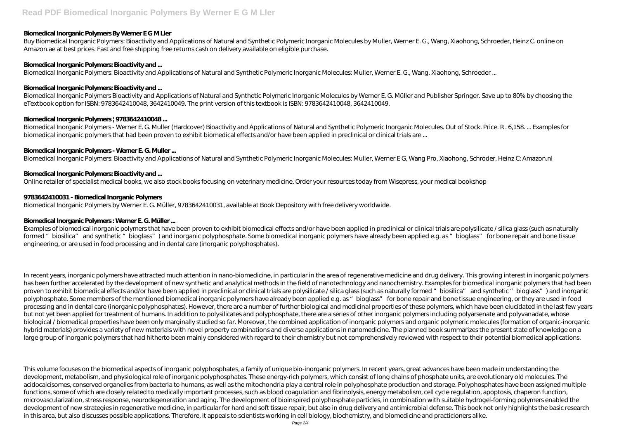## **Biomedical Inorganic Polymers By Werner E G M Ller**

Buy Biomedical Inorganic Polymers: Bioactivity and Applications of Natural and Synthetic Polymeric Inorganic Molecules by Muller, Werner E. G., Wang, Xiaohong, Schroeder, Heinz C. online on Amazon.ae at best prices. Fast and free shipping free returns cash on delivery available on eligible purchase.

#### **Biomedical Inorganic Polymers: Bioactivity and ...**

Biomedical Inorganic Polymers: Bioactivity and Applications of Natural and Synthetic Polymeric Inorganic Molecules: Muller, Werner E. G., Wang, Xiaohong, Schroeder ...

Biomedical Inorganic Polymers - Werner E. G. Muller (Hardcover) Bioactivity and Applications of Natural and Synthetic Polymeric Inorganic Molecules. Out of Stock. Price. R . 6,158. ... Examples for biomedical inorganic polymers that had been proven to exhibit biomedical effects and/or have been applied in preclinical or clinical trials are ...

#### **Biomedical Inorganic Polymers: Bioactivity and ...**

Biomedical Inorganic Polymers Bioactivity and Applications of Natural and Synthetic Polymeric Inorganic Molecules by Werner E. G. Müller and Publisher Springer. Save up to 80% by choosing the eTextbook option for ISBN: 9783642410048, 3642410049. The print version of this textbook is ISBN: 9783642410048, 3642410049.

#### **Biomedical Inorganic Polymers | 9783642410048 ...**

In recent years, inorganic polymers have attracted much attention in nano-biomedicine, in particular in the area of regenerative medicine and drug delivery. This growing interest in inorganic polymers has been further accelerated by the development of new synthetic and analytical methods in the field of nanotechnology and nanochemistry. Examples for biomedical inorganic polymers that had been proven to exhibit biomedical effects and/or have been applied in preclinical or clinical trials are polysilicate / silica glass (such as naturally formed " biosilica" and synthetic " bioglass") and inorganic polyphosphate. Some members of the mentioned biomedical inorganic polymers have already been applied e.g. as "bioglass" for bone repair and bone tissue engineering, or they are used in food processing and in dental care (inorganic polyphosphates). However, there are a number of further biological and medicinal properties of these polymers, which have been elucidated in the last few years but not yet been applied for treatment of humans. In addition to polysilicates and polyphosphate, there are a series of other inorganic polymers including polyarsenate and polyvanadate, whose biological / biomedical properties have been only marginally studied so far. Moreover, the combined application of inorganic polymers and organic polymeric molecules (formation of organic-inorganic hybrid materials) provides a variety of new materials with novel property combinations and diverse applications in nanomedicine. The planned book summarizes the present state of knowledge on a large group of inorganic polymers that had hitherto been mainly considered with regard to their chemistry but not comprehensively reviewed with respect to their potential biomedical applications.

#### **Biomedical Inorganic Polymers - Werner E. G. Muller ...**

Biomedical Inorganic Polymers: Bioactivity and Applications of Natural and Synthetic Polymeric Inorganic Molecules: Muller, Werner E G, Wang Pro, Xiaohong, Schroder, Heinz C: Amazon.nl

#### **Biomedical Inorganic Polymers: Bioactivity and ...**

Online retailer of specialist medical books, we also stock books focusing on veterinary medicine. Order your resources today from Wisepress, your medical bookshop

#### **9783642410031 - Biomedical Inorganic Polymers**

Biomedical Inorganic Polymers by Werner E. G. Müller, 9783642410031, available at Book Depository with free delivery worldwide.

#### **Biomedical Inorganic Polymers : Werner E. G. Müller ...**

Examples of biomedical inorganic polymers that have been proven to exhibit biomedical effects and/or have been applied in preclinical or clinical trials are polysilicate / silica glass (such as naturally formed "biosilica" and synthetic "bioglass") and inorganic polyphosphate. Some biomedical inorganic polymers have already been applied e.g. as "bioglass" for bone repair and bone tissue engineering, or are used in food processing and in dental care (inorganic polyphosphates).

This volume focuses on the biomedical aspects of inorganic polyphosphates, a family of unique bio-inorganic polymers. In recent years, great advances have been made in understanding the development, metabolism, and physiological role of inorganic polyphosphates. These energy-rich polymers, which consist of long chains of phosphate units, are evolutionary old molecules. The acidocalcisomes, conserved organelles from bacteria to humans, as well as the mitochondria play a central role in polyphosphate production and storage. Polyphosphates have been assigned multiple functions, some of which are closely related to medically important processes, such as blood coagulation and fibrinolysis, energy metabolism, cell cycle regulation, apoptosis, chaperon function, microvascularization, stress response, neurodegeneration and aging. The development of bioinspired polyphosphate particles, in combination with suitable hydrogel-forming polymers enabled the development of new strategies in regenerative medicine, in particular for hard and soft tissue repair, but also in drug delivery and antimicrobial defense. This book not only highlights the basic research in this area, but also discusses possible applications. Therefore, it appeals to scientists working in cell biology, biochemistry, and biomedicine and practicioners alike.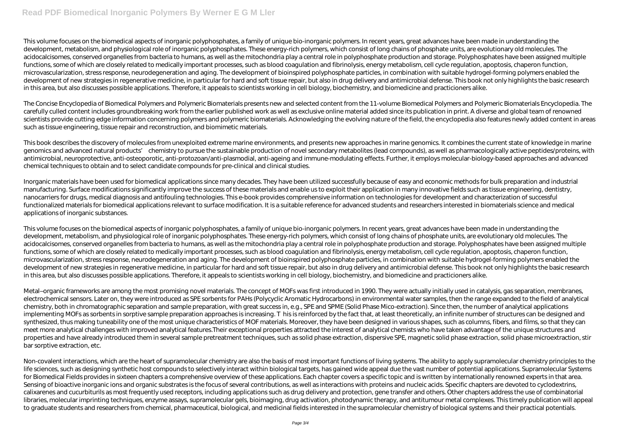This volume focuses on the biomedical aspects of inorganic polyphosphates, a family of unique bio-inorganic polymers. In recent years, great advances have been made in understanding the development, metabolism, and physiological role of inorganic polyphosphates. These energy-rich polymers, which consist of long chains of phosphate units, are evolutionary old molecules. The acidocalcisomes, conserved organelles from bacteria to humans, as well as the mitochondria play a central role in polyphosphate production and storage. Polyphosphates have been assigned multiple functions, some of which are closely related to medically important processes, such as blood coagulation and fibrinolysis, energy metabolism, cell cycle regulation, apoptosis, chaperon function, microvascularization, stress response, neurodegeneration and aging. The development of bioinspired polyphosphate particles, in combination with suitable hydrogel-forming polymers enabled the development of new strategies in regenerative medicine, in particular for hard and soft tissue repair, but also in drug delivery and antimicrobial defense. This book not only highlights the basic research in this area, but also discusses possible applications. Therefore, it appeals to scientists working in cell biology, biochemistry, and biomedicine and practicioners alike.

The Concise Encyclopedia of Biomedical Polymers and Polymeric Biomaterials presents new and selected content from the 11-volume Biomedical Polymers and Polymeric Biomaterials Encyclopedia. The carefully culled content includes groundbreaking work from the earlier published work as well as exclusive online material added since its publication in print. A diverse and global team of renowned scientists provide cutting edge information concerning polymers and polymeric biomaterials. Acknowledging the evolving nature of the field, the encyclopedia also features newly added content in areas such as tissue engineering, tissue repair and reconstruction, and biomimetic materials.

This book describes the discovery of molecules from unexploited extreme marine environments, and presents new approaches in marine genomics. It combines the current state of knowledge in marine genomics and advanced natural products' chemistry to pursue the sustainable production of novel secondary metabolites (lead compounds), as well as pharmacologically active peptides/proteins, with antimicrobial, neuroprotective, anti-osteoporotic, anti-protozoan/anti-plasmodial, anti-ageing and immune-modulating effects. Further, it employs molecular-biology-based approaches and advanced chemical techniques to obtain and to select candidate compounds for pre-clinical and clinical studies.

Metal–organic frameworks are among the most promising novel materials. The concept of MOFs was first introduced in 1990. They were actually initially used in catalysis, gas separation, membranes, electrochemical sensors. Later on, they were introduced as SPE sorbents for PAHs (Polycyclic Aromatic Hydrocarbons) in environmental water samples, then the range expanded to the field of analytical chemistry, both in chromatographic separation and sample preparation, with great success in, e.g., SPE and SPME (Solid Phase Mico-extraction). Since then, the number of analytical applications implementing MOFs as sorbents in sorptive sample preparation approaches is increasing. his is reinforced by the fact that, at least theoretically, an infinite number of structures can be designed and synthesized, thus making tuneability one of the most unique characteristics of MOF materials. Moreover, they have been designed in various shapes, such as columns, fibers, and films, so that they can meet more analytical challenges with improved analytical features. Their exceptional properties attracted the interest of analytical chemists who have taken advantage of the unique structures and properties and have already introduced them in several sample pretreatment techniques, such as solid phase extraction, dispersive SPE, magnetic solid phase extraction, solid phase microextraction, stir bar sorptive extraction, etc.

Inorganic materials have been used for biomedical applications since many decades. They have been utilized successfully because of easy and economic methods for bulk preparation and industrial manufacturing. Surface modifications significantly improve the success of these materials and enable us to exploit their application in many innovative fields such as tissue engineering, dentistry, nanocarriers for drugs, medical diagnosis and antifouling technologies. This e-book provides comprehensive information on technologies for development and characterization of successful functionalized materials for biomedical applications relevant to surface modification. It is a suitable reference for advanced students and researchers interested in biomaterials science and medical applications of inorganic substances.

Non-covalent interactions, which are the heart of supramolecular chemistry are also the basis of most important functions of living systems. The ability to apply supramolecular chemistry principles to the life sciences, such as designing synthetic host compounds to selectively interact within biological targets, has gained wide appeal due the vast number of potential applications. Supramolecular Systems for Biomedical Fields provides in sixteen chapters a comprehensive overview of these applications. Each chapter covers a specific topic and is written by internationally renowned experts in that area. Sensing of bioactive inorganic ions and organic substrates is the focus of several contributions, as well as interactions with proteins and nucleic acids. Specific chapters are devoted to cyclodextrins, calixarenes and cucurbiturils as most frequently used receptors, including applications such as drug delivery and protection, gene transfer and others. Other chapters address the use of combinatorial libraries, molecular imprinting techniques, enzyme assays, supramolecular gels, bioimaging, drug activation, photodynamic therapy, and antitumour metal complexes. This timely publication will appeal to graduate students and researchers from chemical, pharmaceutical, biological, and medicinal fields interested in the supramolecular chemistry of biological systems and their practical potentials.

This volume focuses on the biomedical aspects of inorganic polyphosphates, a family of unique bio-inorganic polymers. In recent years, great advances have been made in understanding the development, metabolism, and physiological role of inorganic polyphosphates. These energy-rich polymers, which consist of long chains of phosphate units, are evolutionary old molecules. The acidocalcisomes, conserved organelles from bacteria to humans, as well as the mitochondria play a central role in polyphosphate production and storage. Polyphosphates have been assigned multiple functions, some of which are closely related to medically important processes, such as blood coagulation and fibrinolysis, energy metabolism, cell cycle regulation, apoptosis, chaperon function, microvascularization, stress response, neurodegeneration and aging. The development of bioinspired polyphosphate particles, in combination with suitable hydrogel-forming polymers enabled the development of new strategies in regenerative medicine, in particular for hard and soft tissue repair, but also in drug delivery and antimicrobial defense. This book not only highlights the basic research in this area, but also discusses possible applications. Therefore, it appeals to scientists working in cell biology, biochemistry, and biomedicine and practicioners alike.